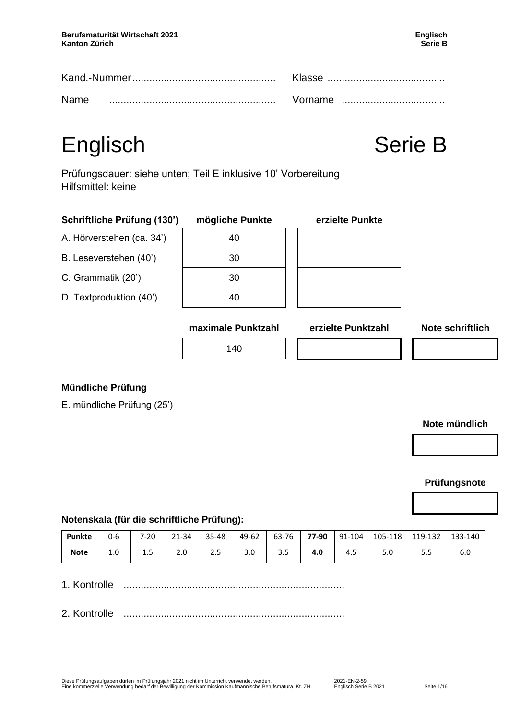|      | Klasse  |  |  |
|------|---------|--|--|
| Name | Vorname |  |  |

# Englisch Serie B

Prüfungsdauer: siehe unten; Teil E inklusive 10' Vorbereitung Hilfsmittel: keine

| Schriftliche Prüfung (130') | mögliche Punkte    | erzielte Punkte    |                         |
|-----------------------------|--------------------|--------------------|-------------------------|
| A. Hörverstehen (ca. 34')   | 40                 |                    |                         |
| B. Leseverstehen (40')      | 30                 |                    |                         |
| C. Grammatik (20')          | 30                 |                    |                         |
| D. Textproduktion (40')     | 40                 |                    |                         |
|                             | maximale Punktzahl | erzielte Punktzahl | <b>Note schriftlich</b> |
|                             | 140                |                    |                         |

#### **Mündliche Prüfung**

E. mündliche Prüfung (25')

#### **Note mündlich**

#### **Prüfungsnote**

#### **Notenskala (für die schriftliche Prüfung):**

| Punkte      | 0-6 | $7 - 20$              | 21-34                | 35-48                | 49-62           | 63-76 | 77-90 | 91-104 | 105-118 | 119-132 | 133-140 |
|-------------|-----|-----------------------|----------------------|----------------------|-----------------|-------|-------|--------|---------|---------|---------|
| <b>Note</b> | 1.0 | 1 <sub>5</sub><br>⊥.J | $\sim$ $\sim$<br>z.u | $\sim$ $\sim$<br>د.ء | $\Omega$<br>J.U | 3.5   | 4.0   | 4.5    | 5.0     | ر.ر     | b.U     |

1. Kontrolle .............................................................................

2. Kontrolle .............................................................................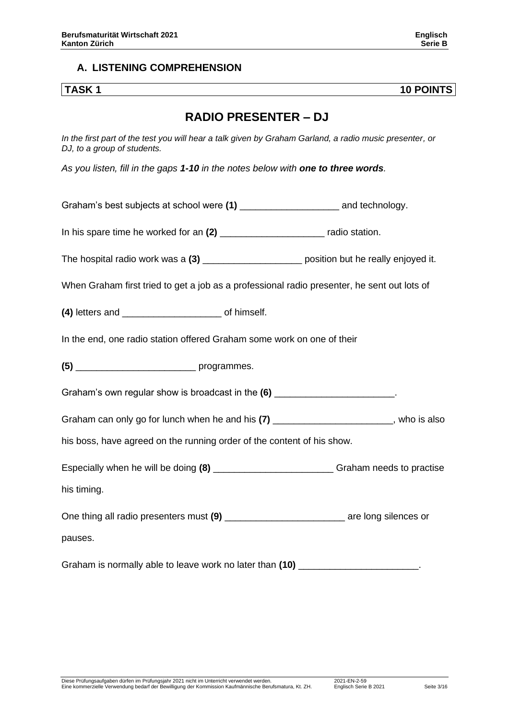#### **A. LISTENING COMPREHENSION**

**TASK 1 10 POINTS**

### **RADIO PRESENTER – DJ**

*In the first part of the test you will hear a talk given by Graham Garland, a radio music presenter, or DJ, to a group of students.*

*As you listen, fill in the gaps 1-10 in the notes below with one to three words.*

Graham's best subjects at school were (1) example and technology.

In his spare time he worked for an (2) The last spare time he worked for an (2) and the spare radio station.

The hospital radio work was a (3) **the hospital radio work was a (3)** bosition but he really enjoyed it.

When Graham first tried to get a job as a professional radio presenter, he sent out lots of

**(4)** letters and \_\_\_\_\_\_\_\_\_\_\_\_\_\_\_\_\_\_\_ of himself.

In the end, one radio station offered Graham some work on one of their

**(5)** \_\_\_\_\_\_\_\_\_\_\_\_\_\_\_\_\_\_\_\_\_\_\_ programmes.

Graham's own regular show is broadcast in the **(6)** \_\_\_\_\_\_\_\_\_\_\_\_\_\_\_\_\_\_\_\_\_\_\_.

Graham can only go for lunch when he and his (7) Graham can only go for lunch when he and his (7)

his boss, have agreed on the running order of the content of his show.

Especially when he will be doing (8) **Example 20** Graham needs to practise his timing.

One thing all radio presenters must (9) **Example 20** are long silences or

pauses.

Graham is normally able to leave work no later than  $(10)$  \_\_\_\_\_\_\_\_\_\_\_\_\_\_\_\_\_\_\_\_\_\_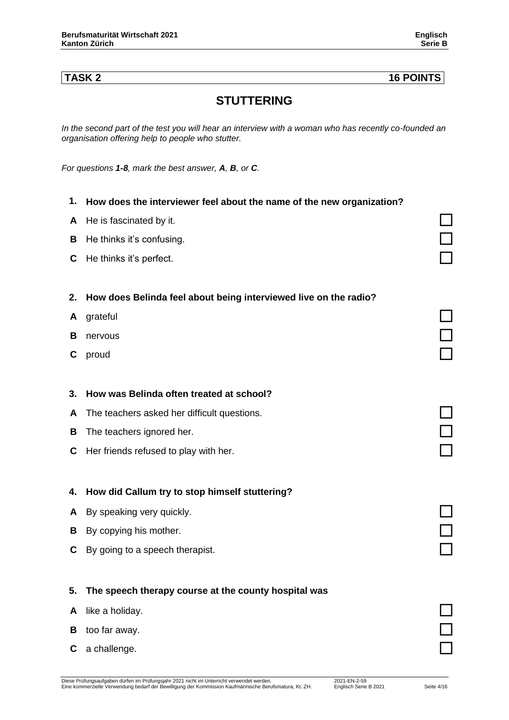### **TASK 2 16 POINTS**

### **STUTTERING**

*In the second part of the test you will hear an interview with a woman who has recently co-founded an organisation offering help to people who stutter.*

*For questions 1-8, mark the best answer, A, B, or C.* 

| 1. | How does the interviewer feel about the name of the new organization? |  |
|----|-----------------------------------------------------------------------|--|
| A  | He is fascinated by it.                                               |  |
| B  | He thinks it's confusing.                                             |  |
| C  | He thinks it's perfect.                                               |  |
|    |                                                                       |  |
| 2. | How does Belinda feel about being interviewed live on the radio?      |  |
| A  | grateful                                                              |  |
| в  | nervous                                                               |  |
| С  | proud                                                                 |  |
|    |                                                                       |  |
| 3. | How was Belinda often treated at school?                              |  |
| A  | The teachers asked her difficult questions.                           |  |
| В  | The teachers ignored her.                                             |  |
| С  | Her friends refused to play with her.                                 |  |
|    |                                                                       |  |
| 4. | How did Callum try to stop himself stuttering?                        |  |
| A  | By speaking very quickly.                                             |  |
| В  | By copying his mother.                                                |  |
| C  | By going to a speech therapist.                                       |  |
|    |                                                                       |  |
| 5. | The speech therapy course at the county hospital was                  |  |
| A  | like a holiday.                                                       |  |
| В  | too far away.                                                         |  |
| С  | a challenge.                                                          |  |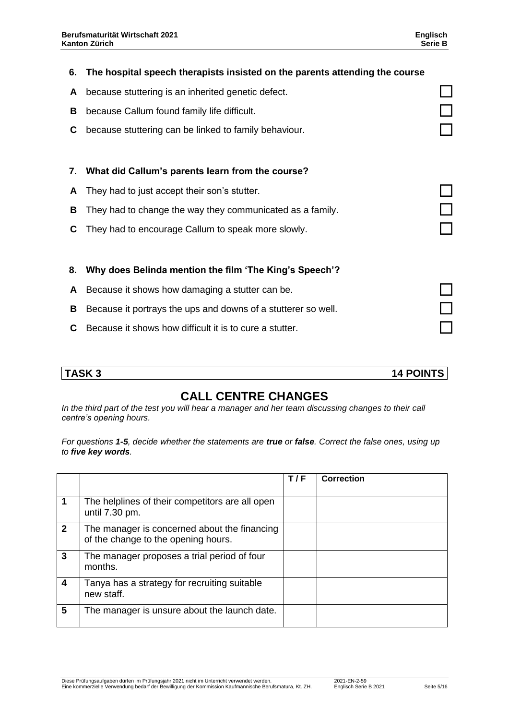| 6. | The hospital speech therapists insisted on the parents attending the course |  |
|----|-----------------------------------------------------------------------------|--|
| A  | because stuttering is an inherited genetic defect.                          |  |
| B  | because Callum found family life difficult.                                 |  |
| C  | because stuttering can be linked to family behaviour.                       |  |
|    |                                                                             |  |
| 7. | What did Callum's parents learn from the course?                            |  |
| A  | They had to just accept their son's stutter.                                |  |
| В  | They had to change the way they communicated as a family.                   |  |
| C  | They had to encourage Callum to speak more slowly.                          |  |
|    |                                                                             |  |
| 8. | Why does Belinda mention the film 'The King's Speech'?                      |  |
| A  | Because it shows how damaging a stutter can be.                             |  |
| B  | Because it portrays the ups and downs of a stutterer so well.               |  |
| C. | Because it shows how difficult it is to cure a stutter.                     |  |
|    |                                                                             |  |

**TASK 3 14 POINTS**

### **CALL CENTRE CHANGES**

*In the third part of the test you will hear a manager and her team discussing changes to their call centre's opening hours.*

*For questions 1-5, decide whether the statements are true or false. Correct the false ones, using up to five key words.* 

|              |                                                                                     | T/F | <b>Correction</b> |
|--------------|-------------------------------------------------------------------------------------|-----|-------------------|
|              | The helplines of their competitors are all open<br>until 7.30 pm.                   |     |                   |
| $\mathbf{2}$ | The manager is concerned about the financing<br>of the change to the opening hours. |     |                   |
| 3            | The manager proposes a trial period of four<br>months.                              |     |                   |
| 4            | Tanya has a strategy for recruiting suitable<br>new staff.                          |     |                   |
| 5            | The manager is unsure about the launch date.                                        |     |                   |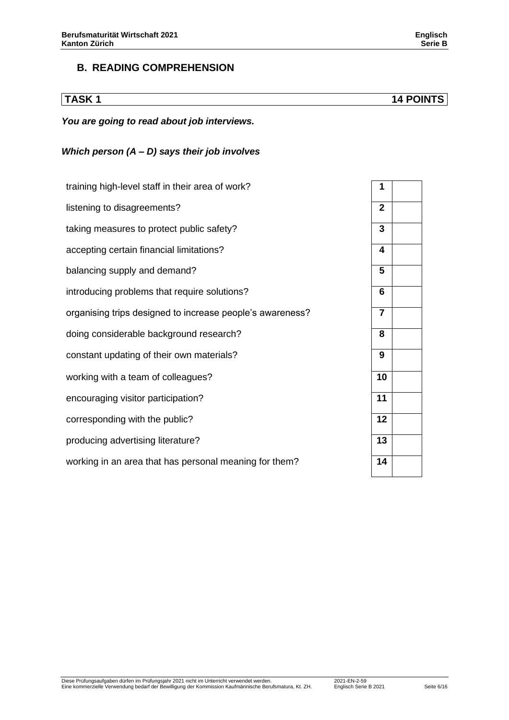#### **B. READING COMPREHENSION**

**TASK 1 14 POINTS**

#### *You are going to read about job interviews.*

#### *Which person (A – D) says their job involves*

| training high-level staff in their area of work?          | $\mathbf{1}$            |
|-----------------------------------------------------------|-------------------------|
| listening to disagreements?                               | $\mathbf{2}$            |
| taking measures to protect public safety?                 | 3                       |
| accepting certain financial limitations?                  | $\overline{\mathbf{4}}$ |
| balancing supply and demand?                              | $5\phantom{1}$          |
| introducing problems that require solutions?              | 6                       |
| organising trips designed to increase people's awareness? | $\overline{7}$          |
| doing considerable background research?                   | 8                       |
| constant updating of their own materials?                 | 9                       |
| working with a team of colleagues?                        | 10                      |
| encouraging visitor participation?                        | 11                      |
| corresponding with the public?                            | 12                      |
| producing advertising literature?                         | 13                      |
| working in an area that has personal meaning for them?    | 14                      |

| 1                       |  |
|-------------------------|--|
| $\mathbf 2$             |  |
| 3                       |  |
| 4                       |  |
| $\overline{5}$          |  |
| $\overline{\bf{6}}$     |  |
| $\overline{\mathbf{7}}$ |  |
| $\overline{\mathbf{8}}$ |  |
| 9                       |  |
| $\overline{10}$         |  |
| 11                      |  |
| $\overline{12}$         |  |
| $\overline{13}$         |  |
| 14                      |  |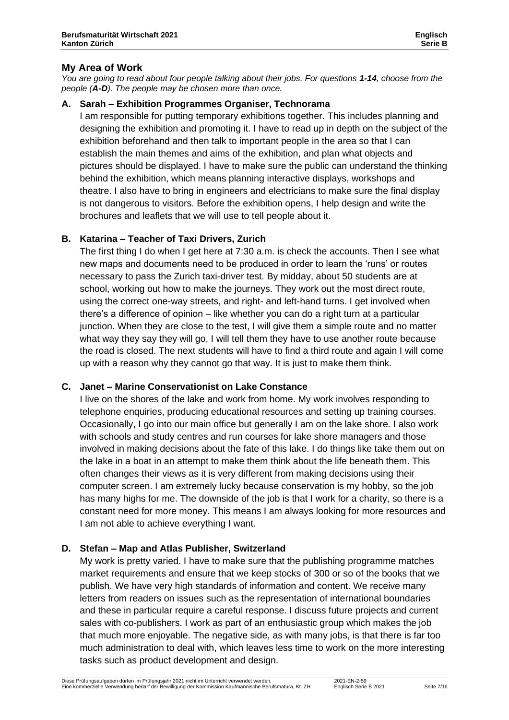*You are going to read about four people talking about their jobs. For questions 1-14, choose from the people (A-D). The people may be chosen more than once.*

#### **A. Sarah – Exhibition Programmes Organiser, Technorama**

I am responsible for putting temporary exhibitions together. This includes planning and designing the exhibition and promoting it. I have to read up in depth on the subject of the exhibition beforehand and then talk to important people in the area so that I can establish the main themes and aims of the exhibition, and plan what objects and pictures should be displayed. I have to make sure the public can understand the thinking behind the exhibition, which means planning interactive displays, workshops and theatre. I also have to bring in engineers and electricians to make sure the final display is not dangerous to visitors. Before the exhibition opens, I help design and write the brochures and leaflets that we will use to tell people about it.

#### **B. Katarina – Teacher of Taxi Drivers, Zurich**

The first thing I do when I get here at 7:30 a.m. is check the accounts. Then I see what new maps and documents need to be produced in order to learn the 'runs' or routes necessary to pass the Zurich taxi-driver test. By midday, about 50 students are at school, working out how to make the journeys. They work out the most direct route, using the correct one-way streets, and right- and left-hand turns. I get involved when there's a difference of opinion – like whether you can do a right turn at a particular junction. When they are close to the test, I will give them a simple route and no matter what way they say they will go, I will tell them they have to use another route because the road is closed. The next students will have to find a third route and again I will come up with a reason why they cannot go that way. It is just to make them think.

#### **C. Janet – Marine Conservationist on Lake Constance**

I live on the shores of the lake and work from home. My work involves responding to telephone enquiries, producing educational resources and setting up training courses. Occasionally, I go into our main office but generally I am on the lake shore. I also work with schools and study centres and run courses for lake shore managers and those involved in making decisions about the fate of this lake. I do things like take them out on the lake in a boat in an attempt to make them think about the life beneath them. This often changes their views as it is very different from making decisions using their computer screen. I am extremely lucky because conservation is my hobby, so the job has many highs for me. The downside of the job is that I work for a charity, so there is a constant need for more money. This means I am always looking for more resources and I am not able to achieve everything I want.

#### **D. Stefan – Map and Atlas Publisher, Switzerland**

My work is pretty varied. I have to make sure that the publishing programme matches market requirements and ensure that we keep stocks of 300 or so of the books that we publish. We have very high standards of information and content. We receive many letters from readers on issues such as the representation of international boundaries and these in particular require a careful response. I discuss future projects and current sales with co-publishers. I work as part of an enthusiastic group which makes the job that much more enjoyable. The negative side, as with many jobs, is that there is far too much administration to deal with, which leaves less time to work on the more interesting tasks such as product development and design.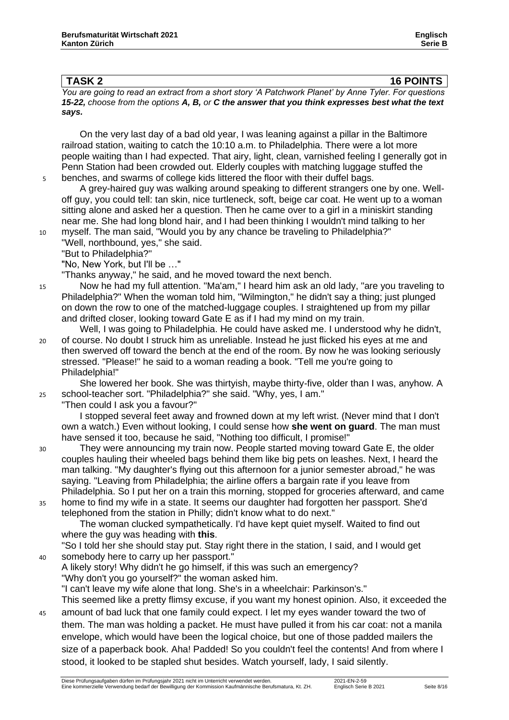**TASK 2 16 POINTS** *You are going to read an extract from a short story 'A Patchwork Planet' by Anne Tyler. For questions*

*15-22, choose from the options A, B, or C the answer that you think expresses best what the text says.*

On the very last day of a bad old year, I was leaning against a pillar in the Baltimore railroad station, waiting to catch the 10:10 a.m. to Philadelphia. There were a lot more people waiting than I had expected. That airy, light, clean, varnished feeling I generally got in Penn Station had been crowded out. Elderly couples with matching luggage stuffed the 5 benches, and swarms of college kids littered the floor with their duffel bags.

- A grey-haired guy was walking around speaking to different strangers one by one. Welloff guy, you could tell: tan skin, nice turtleneck, soft, beige car coat. He went up to a woman sitting alone and asked her a question. Then he came over to a girl in a miniskirt standing near me. She had long blond hair, and I had been thinking I wouldn't mind talking to her
- 10 myself. The man said, "Would you by any chance be traveling to Philadelphia?" "Well, northbound, yes," she said.
	- "But to Philadelphia?"

"No, New York, but I'll be …"

"Thanks anyway," he said, and he moved toward the next bench.

- 15 Now he had my full attention. "Ma'am," I heard him ask an old lady, "are you traveling to Philadelphia?" When the woman told him, "Wilmington," he didn't say a thing; just plunged on down the row to one of the matched-luggage couples. I straightened up from my pillar and drifted closer, looking toward Gate E as if I had my mind on my train.
- Well, I was going to Philadelphia. He could have asked me. I understood why he didn't, 20 of course. No doubt I struck him as unreliable. Instead he just flicked his eyes at me and then swerved off toward the bench at the end of the room. By now he was looking seriously stressed. "Please!" he said to a woman reading a book. "Tell me you're going to Philadelphia!"

She lowered her book. She was thirtyish, maybe thirty-five, older than I was, anyhow. A 25 school-teacher sort. "Philadelphia?" she said. "Why, yes, I am."

"Then could I ask you a favour?"

I stopped several feet away and frowned down at my left wrist. (Never mind that I don't own a watch.) Even without looking, I could sense how **she went on guard**. The man must have sensed it too, because he said, "Nothing too difficult, I promise!"

- 30 They were announcing my train now. People started moving toward Gate E, the older couples hauling their wheeled bags behind them like big pets on leashes. Next, I heard the man talking. "My daughter's flying out this afternoon for a junior semester abroad," he was saying. "Leaving from Philadelphia; the airline offers a bargain rate if you leave from Philadelphia. So I put her on a train this morning, stopped for groceries afterward, and came
- 35 home to find my wife in a state. It seems our daughter had forgotten her passport. She'd telephoned from the station in Philly; didn't know what to do next." The woman clucked sympathetically. I'd have kept quiet myself. Waited to find out

where the guy was heading with **this**.

"So I told her she should stay put. Stay right there in the station, I said, and I would get 40 somebody here to carry up her passport."

- A likely story! Why didn't he go himself, if this was such an emergency? "Why don't you go yourself?" the woman asked him. "I can't leave my wife alone that long. She's in a wheelchair: Parkinson's." This seemed like a pretty flimsy excuse, if you want my honest opinion. Also, it exceeded the 45 amount of bad luck that one family could expect. I let my eyes wander toward the two of
- them. The man was holding a packet. He must have pulled it from his car coat: not a manila envelope, which would have been the logical choice, but one of those padded mailers the size of a paperback book. Aha! Padded! So you couldn't feel the contents! And from where I stood, it looked to be stapled shut besides. Watch yourself, lady, I said silently.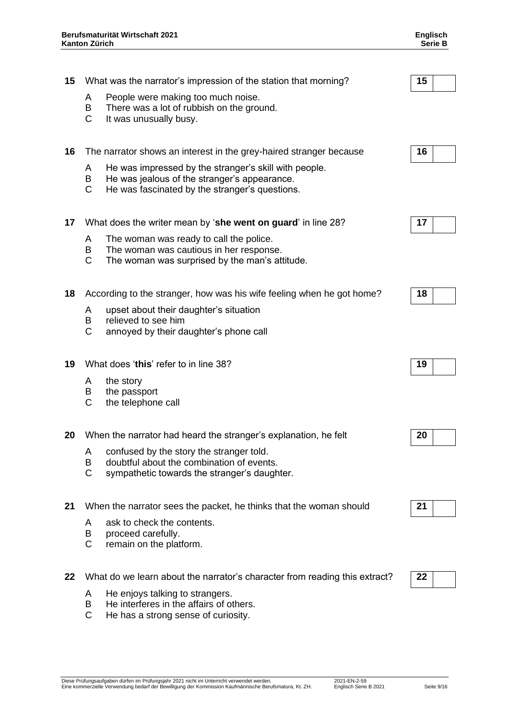| 15 |                        | What was the narrator's impression of the station that morning?                                                                                         | 15 |  |
|----|------------------------|---------------------------------------------------------------------------------------------------------------------------------------------------------|----|--|
|    | A<br>B<br>$\mathsf{C}$ | People were making too much noise.<br>There was a lot of rubbish on the ground.<br>It was unusually busy.                                               |    |  |
| 16 |                        | The narrator shows an interest in the grey-haired stranger because                                                                                      | 16 |  |
|    | A<br>B<br>$\mathsf{C}$ | He was impressed by the stranger's skill with people.<br>He was jealous of the stranger's appearance.<br>He was fascinated by the stranger's questions. |    |  |
| 17 |                        | What does the writer mean by 'she went on guard' in line 28?                                                                                            | 17 |  |
|    | A<br>B<br>$\mathsf{C}$ | The woman was ready to call the police.<br>The woman was cautious in her response.<br>The woman was surprised by the man's attitude.                    |    |  |
| 18 |                        | According to the stranger, how was his wife feeling when he got home?                                                                                   | 18 |  |
|    | A<br>B<br>$\mathsf{C}$ | upset about their daughter's situation<br>relieved to see him<br>annoyed by their daughter's phone call                                                 |    |  |
| 19 |                        | What does 'this' refer to in line 38?                                                                                                                   | 19 |  |
|    | A<br>B<br>C            | the story<br>the passport<br>the telephone call                                                                                                         |    |  |
| 20 |                        | When the narrator had heard the stranger's explanation, he felt                                                                                         | 20 |  |
|    | A<br>B<br>C            | confused by the story the stranger told.<br>doubtful about the combination of events.<br>sympathetic towards the stranger's daughter.                   |    |  |
| 21 |                        | When the narrator sees the packet, he thinks that the woman should                                                                                      | 21 |  |
|    | A                      | ask to check the contents.                                                                                                                              |    |  |

- B proceed carefully.
- C remain on the platform.

**22** What do we learn about the narrator's character from reading this extract? **22**

- A He enjoys talking to strangers.
- B He interferes in the affairs of others.
- C He has a strong sense of curiosity.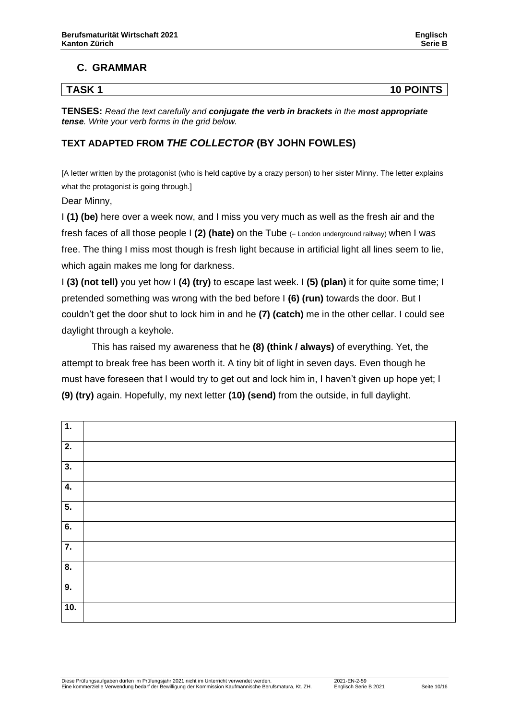#### **C. GRAMMAR**

### **TASK 1 10 POINTS**

**TENSES:** *Read the text carefully and conjugate the verb in brackets in the most appropriate tense. Write your verb forms in the grid below.*

#### **TEXT ADAPTED FROM** *THE COLLECTOR* **(BY JOHN FOWLES)**

[A letter written by the protagonist (who is held captive by a crazy person) to her sister Minny. The letter explains what the protagonist is going through.]

Dear Minny,

I **(1) (be)** here over a week now, and I miss you very much as well as the fresh air and the fresh faces of all those people I **(2) (hate)** on the Tube (= London underground railway) when I was free. The thing I miss most though is fresh light because in artificial light all lines seem to lie, which again makes me long for darkness.

I **(3) (not tell)** you yet how I **(4) (try)** to escape last week. I **(5) (plan)** it for quite some time; I pretended something was wrong with the bed before I **(6) (run)** towards the door. But I couldn't get the door shut to lock him in and he **(7) (catch)** me in the other cellar. I could see daylight through a keyhole.

This has raised my awareness that he **(8) (think / always)** of everything. Yet, the attempt to break free has been worth it. A tiny bit of light in seven days. Even though he must have foreseen that I would try to get out and lock him in, I haven't given up hope yet; I **(9) (try)** again. Hopefully, my next letter **(10) (send)** from the outside, in full daylight.

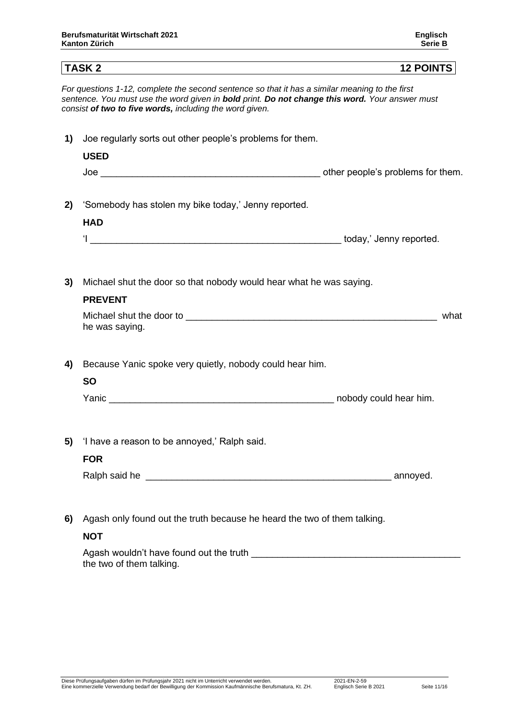## **TASK 2 12 POINTS**

*For questions 1-12, complete the second sentence so that it has a similar meaning to the first sentence. You must use the word given in bold print. Do not change this word. Your answer must consist of two to five words, including the word given.*

| 1) | Joe regularly sorts out other people's problems for them.                               |      |  |
|----|-----------------------------------------------------------------------------------------|------|--|
|    | <b>USED</b>                                                                             |      |  |
| 2) | 'Somebody has stolen my bike today,' Jenny reported.                                    |      |  |
|    | <b>HAD</b>                                                                              |      |  |
| 3) | Michael shut the door so that nobody would hear what he was saying.<br><b>PREVENT</b>   | what |  |
| 4) | he was saying.<br>Because Yanic spoke very quietly, nobody could hear him.<br><b>SO</b> |      |  |
|    |                                                                                         |      |  |
| 5) | 'I have a reason to be annoyed,' Ralph said.<br><b>FOR</b>                              |      |  |
| 6) | Agash only found out the truth because he heard the two of them talking.                |      |  |

#### **NOT**

Agash wouldn't have found out the truth the two of them talking.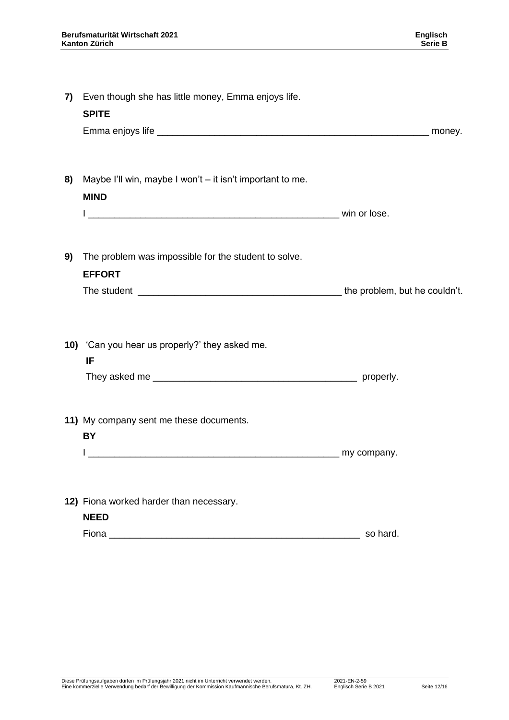| 7) | Even though she has little money, Emma enjoys life.<br><b>SPITE</b>                                                                                                                                                                                                                      |          |
|----|------------------------------------------------------------------------------------------------------------------------------------------------------------------------------------------------------------------------------------------------------------------------------------------|----------|
| 8) | Maybe I'll win, maybe I won't - it isn't important to me.<br><b>MIND</b>                                                                                                                                                                                                                 |          |
| 9) | The problem was impossible for the student to solve.<br><b>EFFORT</b>                                                                                                                                                                                                                    |          |
|    | 10) 'Can you hear us properly?' they asked me.<br>IF                                                                                                                                                                                                                                     |          |
|    | 11) My company sent me these documents.<br>BY                                                                                                                                                                                                                                            |          |
|    | 12) Fiona worked harder than necessary.<br><b>NEED</b><br>Fional contract the contract of the contract of the contract of the contract of the contract of the contract of the contract of the contract of the contract of the contract of the contract of the contract of the contract o | so hard. |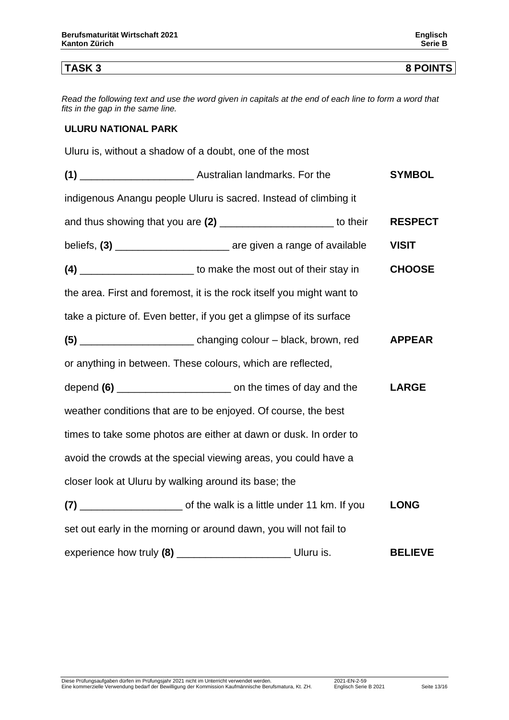#### **TASK 3 8 POINTS**

*Read the following text and use the word given in capitals at the end of each line to form a word that fits in the gap in the same line.* 

#### **ULURU NATIONAL PARK**

Uluru is, without a shadow of a doubt, one of the most

|                                                                           | <b>SYMBOL</b>  |
|---------------------------------------------------------------------------|----------------|
| indigenous Anangu people Uluru is sacred. Instead of climbing it          |                |
| and thus showing that you are (2) _________________________ to their      | <b>RESPECT</b> |
| beliefs, (3) _____________________________ are given a range of available | <b>VISIT</b>   |
| (4) __________________________ to make the most out of their stay in      | <b>CHOOSE</b>  |
| the area. First and foremost, it is the rock itself you might want to     |                |
| take a picture of. Even better, if you get a glimpse of its surface       |                |
| (5) ____________________________ changing colour - black, brown, red      | <b>APPEAR</b>  |
| or anything in between. These colours, which are reflected,               |                |
|                                                                           | <b>LARGE</b>   |
| weather conditions that are to be enjoyed. Of course, the best            |                |
| times to take some photos are either at dawn or dusk. In order to         |                |
| avoid the crowds at the special viewing areas, you could have a           |                |
| closer look at Uluru by walking around its base; the                      |                |
|                                                                           | <b>LONG</b>    |
| set out early in the morning or around dawn, you will not fail to         |                |
| experience how truly (8) __________________________________ Uluru is.     | <b>BELIEVE</b> |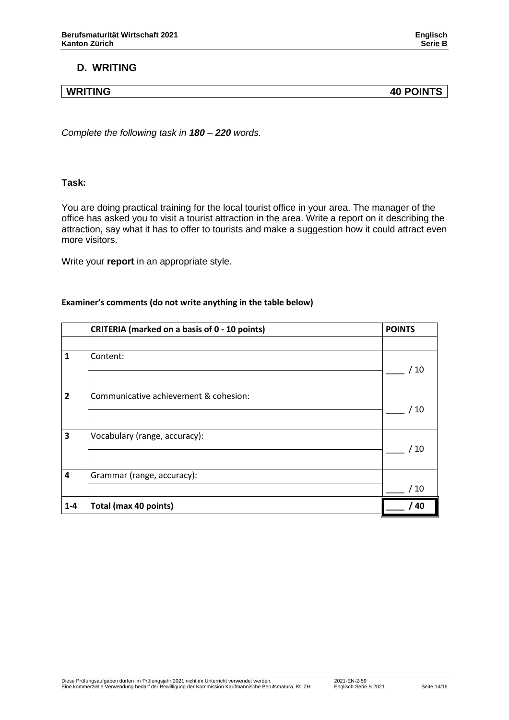#### **D. WRITING**

**WRITING 40 POINTS**

*Complete the following task in 180 – 220 words.*

#### **Task:**

You are doing practical training for the local tourist office in your area. The manager of the office has asked you to visit a tourist attraction in the area. Write a report on it describing the attraction, say what it has to offer to tourists and make a suggestion how it could attract even more visitors.

Write your **report** in an appropriate style.

#### **Examiner's comments (do not write anything in the table below)**

|                         | <b>CRITERIA (marked on a basis of 0 - 10 points)</b> | <b>POINTS</b>  |
|-------------------------|------------------------------------------------------|----------------|
|                         |                                                      |                |
| $\mathbf{1}$            | Content:                                             |                |
|                         |                                                      | 10             |
| $\overline{2}$          | Communicative achievement & cohesion:                |                |
|                         |                                                      | ′ 10           |
| 3                       | Vocabulary (range, accuracy):                        |                |
|                         |                                                      | ′ 10           |
| $\overline{\mathbf{4}}$ | Grammar (range, accuracy):                           |                |
|                         |                                                      | $^{\prime}$ 10 |
| $1 - 4$                 | Total (max 40 points)                                | 40             |